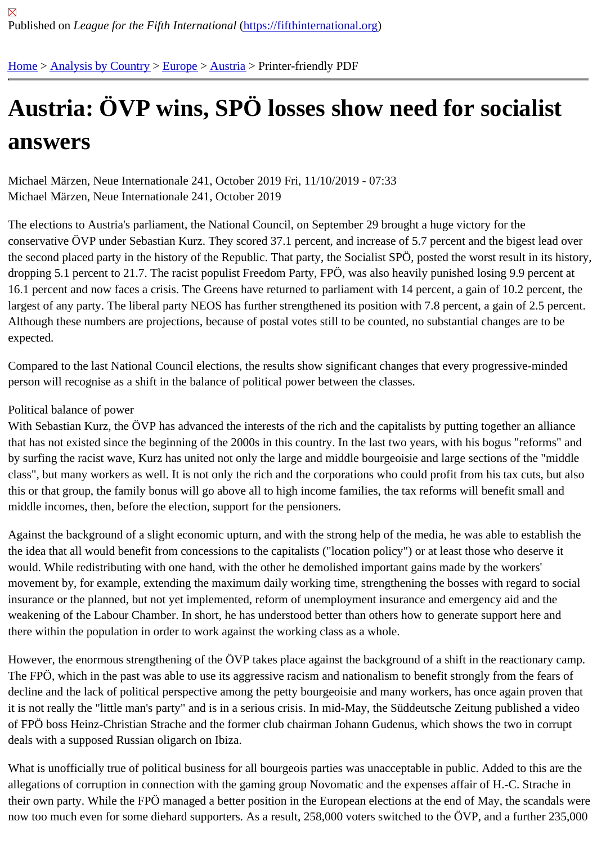# [Au](https://fifthinternational.org/)s[tria: ÖVP](https://fifthinternational.org/category/1) [wins](https://fifthinternational.org/category/1/128), [SP](https://fifthinternational.org/category/1/128/132)Ö losses show need for socialist answers

Michael Märzen, Neue Internationale 241, October 2019 Fri, 11/10/2019 - 07:33 Michael Märzen, Neue Internationale 241, October 2019

The elections to Austria's parliament, the National Council, on September 29 brought a huge victory for the conservative ÖVP under Sebastian Kurz. They scored 37.1 percent, and increase of 5.7 percent and the bigest lea the second placed party in the history of the Republic. That party, the Socialist SPÖ, posted the worst result in its l dropping 5.1 percent to 21.7. The racist populist Freedom Party, FPÖ, was also heavily punished losing 9.9 percent 16.1 percent and now faces a crisis. The Greens have returned to parliament with 14 percent, a gain of 10.2 perce largest of any party. The liberal party NEOS has further strengthened its position with 7.8 percent, a gain of 2.5 pe Although these numbers are projections, because of postal votes still to be counted, no substantial changes are to expected.

Compared to the last National Council elections, the results show significant changes that every progressive-mind person will recognise as a shift in the balance of political power between the classes.

## Political balance of power

With Sebastian Kurz, the ÖVP has advanced the interests of the rich and the capitalists by putting together an allia that has not existed since the beginning of the 2000s in this country. In the last two years, with his bogus "reforms' by surfing the racist wave, Kurz has united not only the large and middle bourgeoisie and large sections of the "mi class", but many workers as well. It is not only the rich and the corporations who could profit from his tax cuts, but this or that group, the family bonus will go above all to high income families, the tax reforms will benefit small and middle incomes, then, before the election, support for the pensioners.

Against the background of a slight economic upturn, and with the strong help of the media, he was able to establis the idea that all would benefit from concessions to the capitalists ("location policy") or at least those who deserve i would. While redistributing with one hand, with the other he demolished important gains made by the workers' movement by, for example, extending the maximum daily working time, strengthening the bosses with regard to so insurance or the planned, but not yet implemented, reform of unemployment insurance and emergency aid and the weakening of the Labour Chamber. In short, he has understood better than others how to generate support here a there within the population in order to work against the working class as a whole.

However, the enormous strengthening of the OVP takes place against the background of a shift in the reactionary The FPÖ, which in the past was able to use its aggressive racism and nationalism to benefit strongly from the fear decline and the lack of political perspective among the petty bourgeoisie and many workers, has once again prove it is not really the "little man's party" and is in a serious crisis. In mid-May, the Süddeutsche Zeitung published a vid of FPÖ boss Heinz-Christian Strache and the former club chairman Johann Gudenus, which shows the two in corr deals with a supposed Russian oligarch on Ibiza.

What is unofficially true of political business for all bourgeois parties was unacceptable in public. Added to this are allegations of corruption in connection with the gaming group Novomatic and the expenses affair of H.-C. Strache their own party. While the FPÖ managed a better position in the European elections at the end of May, the scanda now too much even for some diehard supporters. As a result, 258,000 voters switched to the ÖVP, and a further 2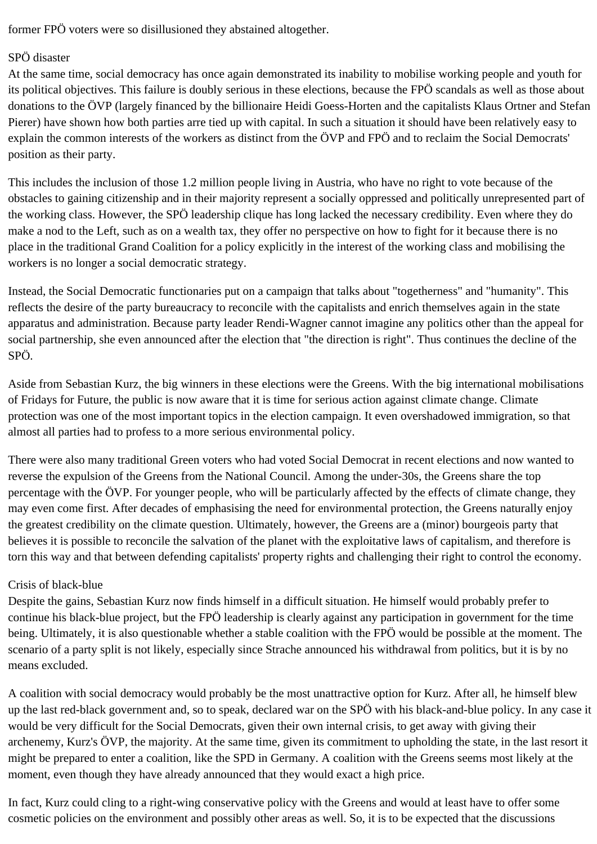former FPÖ voters were so disillusioned they abstained altogether.

# SPÖ disaster

At the same time, social democracy has once again demonstrated its inability to mobilise working people and youth for its political objectives. This failure is doubly serious in these elections, because the FPÖ scandals as well as those about donations to the ÖVP (largely financed by the billionaire Heidi Goess-Horten and the capitalists Klaus Ortner and Stefan Pierer) have shown how both parties arre tied up with capital. In such a situation it should have been relatively easy to explain the common interests of the workers as distinct from the ÖVP and FPÖ and to reclaim the Social Democrats' position as their party.

This includes the inclusion of those 1.2 million people living in Austria, who have no right to vote because of the obstacles to gaining citizenship and in their majority represent a socially oppressed and politically unrepresented part of the working class. However, the SPÖ leadership clique has long lacked the necessary credibility. Even where they do make a nod to the Left, such as on a wealth tax, they offer no perspective on how to fight for it because there is no place in the traditional Grand Coalition for a policy explicitly in the interest of the working class and mobilising the workers is no longer a social democratic strategy.

Instead, the Social Democratic functionaries put on a campaign that talks about "togetherness" and "humanity". This reflects the desire of the party bureaucracy to reconcile with the capitalists and enrich themselves again in the state apparatus and administration. Because party leader Rendi-Wagner cannot imagine any politics other than the appeal for social partnership, she even announced after the election that "the direction is right". Thus continues the decline of the SPÖ.

Aside from Sebastian Kurz, the big winners in these elections were the Greens. With the big international mobilisations of Fridays for Future, the public is now aware that it is time for serious action against climate change. Climate protection was one of the most important topics in the election campaign. It even overshadowed immigration, so that almost all parties had to profess to a more serious environmental policy.

There were also many traditional Green voters who had voted Social Democrat in recent elections and now wanted to reverse the expulsion of the Greens from the National Council. Among the under-30s, the Greens share the top percentage with the ÖVP. For younger people, who will be particularly affected by the effects of climate change, they may even come first. After decades of emphasising the need for environmental protection, the Greens naturally enjoy the greatest credibility on the climate question. Ultimately, however, the Greens are a (minor) bourgeois party that believes it is possible to reconcile the salvation of the planet with the exploitative laws of capitalism, and therefore is torn this way and that between defending capitalists' property rights and challenging their right to control the economy.

## Crisis of black-blue

Despite the gains, Sebastian Kurz now finds himself in a difficult situation. He himself would probably prefer to continue his black-blue project, but the FPÖ leadership is clearly against any participation in government for the time being. Ultimately, it is also questionable whether a stable coalition with the FPÖ would be possible at the moment. The scenario of a party split is not likely, especially since Strache announced his withdrawal from politics, but it is by no means excluded.

A coalition with social democracy would probably be the most unattractive option for Kurz. After all, he himself blew up the last red-black government and, so to speak, declared war on the SPÖ with his black-and-blue policy. In any case it would be very difficult for the Social Democrats, given their own internal crisis, to get away with giving their archenemy, Kurz's ÖVP, the majority. At the same time, given its commitment to upholding the state, in the last resort it might be prepared to enter a coalition, like the SPD in Germany. A coalition with the Greens seems most likely at the moment, even though they have already announced that they would exact a high price.

In fact, Kurz could cling to a right-wing conservative policy with the Greens and would at least have to offer some cosmetic policies on the environment and possibly other areas as well. So, it is to be expected that the discussions